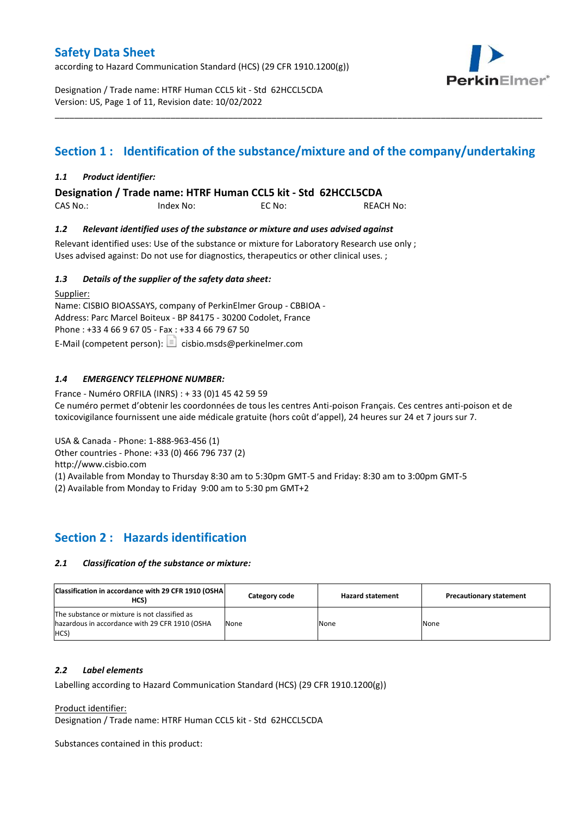according to Hazard Communication Standard (HCS) (29 CFR 1910.1200(g))

Designation / Trade name: HTRF Human CCL5 kit - Std 62HCCL5CDA Version: US, Page 1 of 11, Revision date: 10/02/2022

# **Section 1 : Identification of the substance/mixture and of the company/undertaking**

\_\_\_\_\_\_\_\_\_\_\_\_\_\_\_\_\_\_\_\_\_\_\_\_\_\_\_\_\_\_\_\_\_\_\_\_\_\_\_\_\_\_\_\_\_\_\_\_\_\_\_\_\_\_\_\_\_\_\_\_\_\_\_\_\_\_\_\_\_\_\_\_\_\_\_\_\_\_\_\_\_\_\_\_\_\_\_\_\_\_\_\_\_\_\_\_\_\_\_\_\_

### *1.1 Product identifier:*

**Designation / Trade name: HTRF Human CCL5 kit - Std 62HCCL5CDA** 

CAS No.: Index No: EC No: REACH No:

### *1.2 Relevant identified uses of the substance or mixture and uses advised against*

Relevant identified uses: Use of the substance or mixture for Laboratory Research use only ; Uses advised against: Do not use for diagnostics, therapeutics or other clinical uses. ;

### *1.3 Details of the supplier of the safety data sheet:*

Supplier: Name: CISBIO BIOASSAYS, company of PerkinElmer Group - CBBIOA - Address: Parc Marcel Boiteux - BP 84175 - 30200 Codolet, France Phone : +33 4 66 9 67 05 - Fax : +33 4 66 79 67 50 E-Mail (competent person):  $\Box$  cisbio.msds@perkinelmer.com

### *1.4 EMERGENCY TELEPHONE NUMBER:*

France - Numéro ORFILA (INRS) : + 33 (0)1 45 42 59 59 Ce numéro permet d'obtenir les coordonnées de tous les centres Anti-poison Français. Ces centres anti-poison et de toxicovigilance fournissent une aide médicale gratuite (hors coût d'appel), 24 heures sur 24 et 7 jours sur 7.

USA & Canada - Phone: 1-888-963-456 (1)

Other countries - Phone: +33 (0) 466 796 737 (2)

http://www.cisbio.com

(1) Available from Monday to Thursday 8:30 am to 5:30pm GMT-5 and Friday: 8:30 am to 3:00pm GMT-5

(2) Available from Monday to Friday 9:00 am to 5:30 pm GMT+2

## **Section 2 : Hazards identification**

#### *2.1 Classification of the substance or mixture:*

| Classification in accordance with 29 CFR 1910 (OSHA)<br>HCS)                                            | Category code | <b>Hazard statement</b> | <b>Precautionary statement</b> |
|---------------------------------------------------------------------------------------------------------|---------------|-------------------------|--------------------------------|
| The substance or mixture is not classified as<br>hazardous in accordance with 29 CFR 1910 (OSHA<br>HCS) | None          | None                    | None                           |

#### *2.2 Label elements*

Labelling according to Hazard Communication Standard (HCS) (29 CFR 1910.1200(g))

Product identifier:

Designation / Trade name: HTRF Human CCL5 kit - Std 62HCCL5CDA

Substances contained in this product:

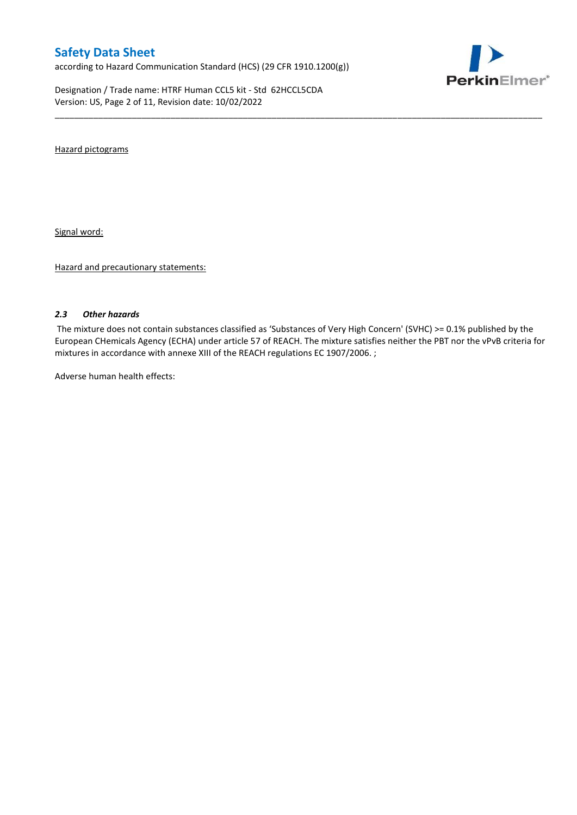according to Hazard Communication Standard (HCS) (29 CFR 1910.1200(g))

Designation / Trade name: HTRF Human CCL5 kit - Std 62HCCL5CDA Version: US, Page 2 of 11, Revision date: 10/02/2022



Hazard pictograms

Signal word:

Hazard and precautionary statements:

#### *2.3 Other hazards*

The mixture does not contain substances classified as 'Substances of Very High Concern' (SVHC) >= 0.1% published by the European CHemicals Agency (ECHA) under article 57 of REACH. The mixture satisfies neither the PBT nor the vPvB criteria for mixtures in accordance with annexe XIII of the REACH regulations EC 1907/2006. ;

\_\_\_\_\_\_\_\_\_\_\_\_\_\_\_\_\_\_\_\_\_\_\_\_\_\_\_\_\_\_\_\_\_\_\_\_\_\_\_\_\_\_\_\_\_\_\_\_\_\_\_\_\_\_\_\_\_\_\_\_\_\_\_\_\_\_\_\_\_\_\_\_\_\_\_\_\_\_\_\_\_\_\_\_\_\_\_\_\_\_\_\_\_\_\_\_\_\_\_\_\_

Adverse human health effects: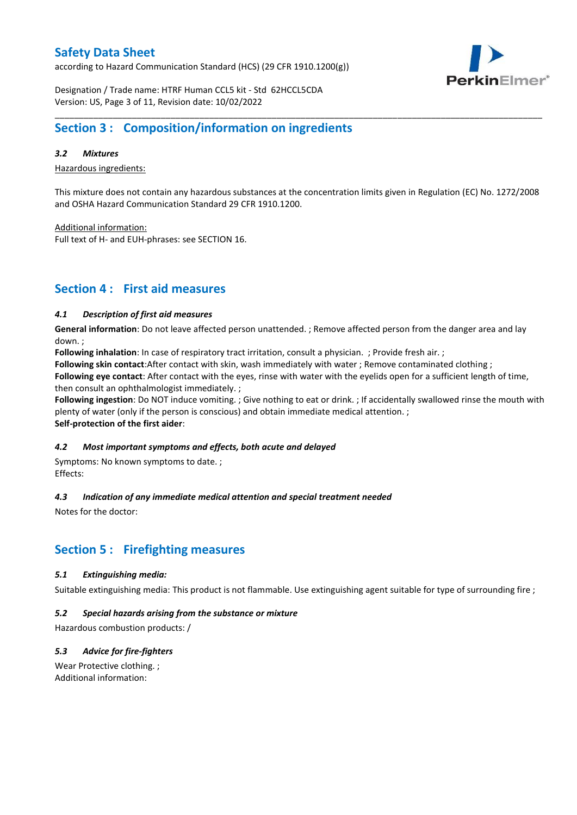according to Hazard Communication Standard (HCS) (29 CFR 1910.1200(g))



Designation / Trade name: HTRF Human CCL5 kit - Std 62HCCL5CDA Version: US, Page 3 of 11, Revision date: 10/02/2022

## **Section 3 : Composition/information on ingredients**

### *3.2 Mixtures*

Hazardous ingredients:

This mixture does not contain any hazardous substances at the concentration limits given in Regulation (EC) No. 1272/2008 and OSHA Hazard Communication Standard 29 CFR 1910.1200.

\_\_\_\_\_\_\_\_\_\_\_\_\_\_\_\_\_\_\_\_\_\_\_\_\_\_\_\_\_\_\_\_\_\_\_\_\_\_\_\_\_\_\_\_\_\_\_\_\_\_\_\_\_\_\_\_\_\_\_\_\_\_\_\_\_\_\_\_\_\_\_\_\_\_\_\_\_\_\_\_\_\_\_\_\_\_\_\_\_\_\_\_\_\_\_\_\_\_\_\_\_

Additional information:

Full text of H- and EUH-phrases: see SECTION 16.

## **Section 4 : First aid measures**

### *4.1 Description of first aid measures*

**General information**: Do not leave affected person unattended. ; Remove affected person from the danger area and lay down. ;

**Following inhalation**: In case of respiratory tract irritation, consult a physician. ; Provide fresh air. ;

**Following skin contact**:After contact with skin, wash immediately with water ; Remove contaminated clothing ;

**Following eye contact**: After contact with the eyes, rinse with water with the eyelids open for a sufficient length of time, then consult an ophthalmologist immediately. ;

**Following ingestion**: Do NOT induce vomiting. ; Give nothing to eat or drink. ; If accidentally swallowed rinse the mouth with plenty of water (only if the person is conscious) and obtain immediate medical attention. ; **Self-protection of the first aider**:

#### *4.2 Most important symptoms and effects, both acute and delayed*

Symptoms: No known symptoms to date. ; Effects:

### *4.3 Indication of any immediate medical attention and special treatment needed*

Notes for the doctor:

## **Section 5 : Firefighting measures**

### *5.1 Extinguishing media:*

Suitable extinguishing media: This product is not flammable. Use extinguishing agent suitable for type of surrounding fire ;

#### *5.2 Special hazards arising from the substance or mixture*

Hazardous combustion products: /

### *5.3 Advice for fire-fighters*

Wear Protective clothing. ; Additional information: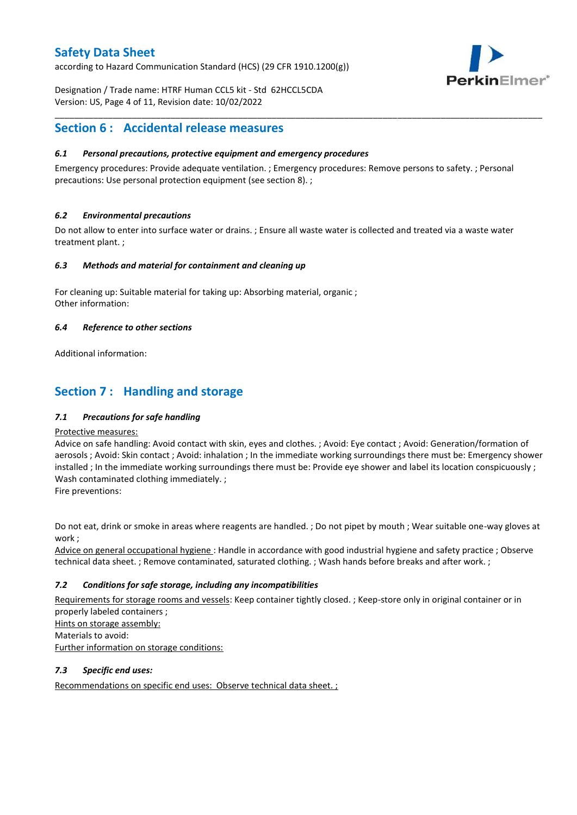according to Hazard Communication Standard (HCS) (29 CFR 1910.1200(g))



Designation / Trade name: HTRF Human CCL5 kit - Std 62HCCL5CDA Version: US, Page 4 of 11, Revision date: 10/02/2022

## **Section 6 : Accidental release measures**

### *6.1 Personal precautions, protective equipment and emergency procedures*

Emergency procedures: Provide adequate ventilation. ; Emergency procedures: Remove persons to safety. ; Personal precautions: Use personal protection equipment (see section 8). ;

\_\_\_\_\_\_\_\_\_\_\_\_\_\_\_\_\_\_\_\_\_\_\_\_\_\_\_\_\_\_\_\_\_\_\_\_\_\_\_\_\_\_\_\_\_\_\_\_\_\_\_\_\_\_\_\_\_\_\_\_\_\_\_\_\_\_\_\_\_\_\_\_\_\_\_\_\_\_\_\_\_\_\_\_\_\_\_\_\_\_\_\_\_\_\_\_\_\_\_\_\_

### *6.2 Environmental precautions*

Do not allow to enter into surface water or drains. ; Ensure all waste water is collected and treated via a waste water treatment plant. ;

#### *6.3 Methods and material for containment and cleaning up*

For cleaning up: Suitable material for taking up: Absorbing material, organic ; Other information:

### *6.4 Reference to other sections*

Additional information:

## **Section 7 : Handling and storage**

### *7.1 Precautions for safe handling*

#### Protective measures:

Advice on safe handling: Avoid contact with skin, eyes and clothes. ; Avoid: Eye contact ; Avoid: Generation/formation of aerosols ; Avoid: Skin contact ; Avoid: inhalation ; In the immediate working surroundings there must be: Emergency shower installed ; In the immediate working surroundings there must be: Provide eye shower and label its location conspicuously; Wash contaminated clothing immediately. ;

Fire preventions:

Do not eat, drink or smoke in areas where reagents are handled. ; Do not pipet by mouth ; Wear suitable one-way gloves at work ;

Advice on general occupational hygiene : Handle in accordance with good industrial hygiene and safety practice ; Observe technical data sheet. ; Remove contaminated, saturated clothing. ; Wash hands before breaks and after work. ;

### *7.2 Conditions for safe storage, including any incompatibilities*

Requirements for storage rooms and vessels: Keep container tightly closed. ; Keep-store only in original container or in properly labeled containers ; Hints on storage assembly: Materials to avoid:

Further information on storage conditions:

### *7.3 Specific end uses:*

Recommendations on specific end uses: Observe technical data sheet. ;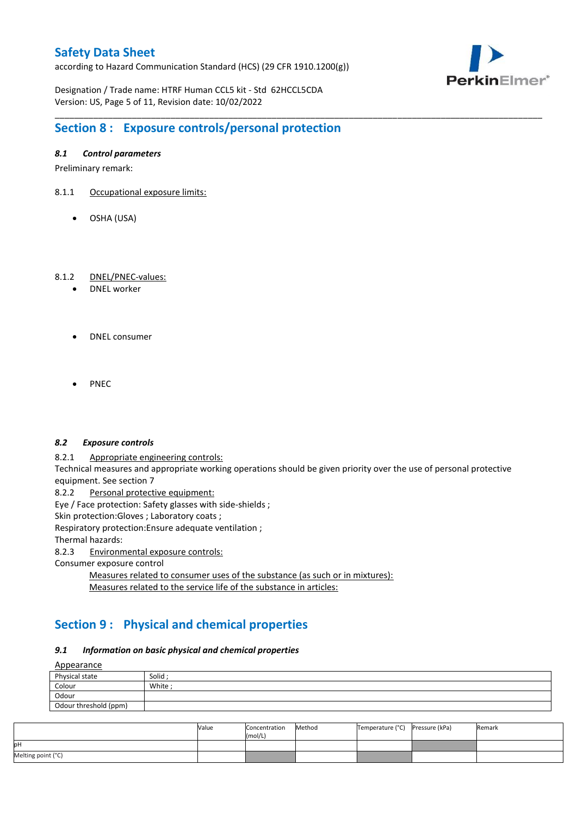according to Hazard Communication Standard (HCS) (29 CFR 1910.1200(g))



Designation / Trade name: HTRF Human CCL5 kit - Std 62HCCL5CDA Version: US, Page 5 of 11, Revision date: 10/02/2022

# **Section 8 : Exposure controls/personal protection**

### *8.1 Control parameters*

Preliminary remark:

- 8.1.1 Occupational exposure limits:
	- OSHA (USA)

### 8.1.2 DNEL/PNEC-values:

- DNEL worker
- DNEL consumer
- PNEC

#### *8.2 Exposure controls*

8.2.1 Appropriate engineering controls:

Technical measures and appropriate working operations should be given priority over the use of personal protective equipment. See section 7

\_\_\_\_\_\_\_\_\_\_\_\_\_\_\_\_\_\_\_\_\_\_\_\_\_\_\_\_\_\_\_\_\_\_\_\_\_\_\_\_\_\_\_\_\_\_\_\_\_\_\_\_\_\_\_\_\_\_\_\_\_\_\_\_\_\_\_\_\_\_\_\_\_\_\_\_\_\_\_\_\_\_\_\_\_\_\_\_\_\_\_\_\_\_\_\_\_\_\_\_\_

8.2.2 Personal protective equipment:

Eye / Face protection: Safety glasses with side-shields ;

Skin protection: Gloves ; Laboratory coats ;

Respiratory protection:Ensure adequate ventilation ;

Thermal hazards:

8.2.3 Environmental exposure controls:

Consumer exposure control

Measures related to consumer uses of the substance (as such or in mixtures): Measures related to the service life of the substance in articles:

## **Section 9 : Physical and chemical properties**

#### *9.1 Information on basic physical and chemical properties*

**A**ppearance

| <u>rippediance</u>    |         |
|-----------------------|---------|
| Physical state        | Solid ; |
| Colour                | White;  |
| Odour                 |         |
| Odour threshold (ppm) |         |

|                    | Value | Concentration<br>(mol/L) | Method | Temperature (°C) Pressure (kPa) | Remark |
|--------------------|-------|--------------------------|--------|---------------------------------|--------|
| pН                 |       |                          |        |                                 |        |
| Melting point (°C) |       |                          |        |                                 |        |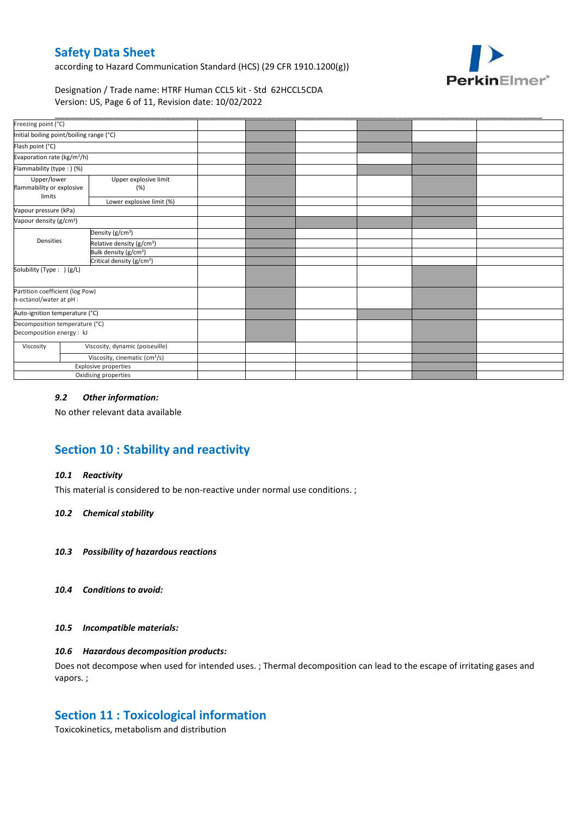according to Hazard Communication Standard (HCS) (29 CFR 1910.1200(g))



Designation / Trade name: HTRF Human CCL5 kit - Std 62HCCL5CDA Version: US, Page 6 of 11, Revision date: 10/02/2022

| Freezing point (°C)                                         |                                           |                                       |  |  |  |
|-------------------------------------------------------------|-------------------------------------------|---------------------------------------|--|--|--|
| Initial boiling point/boiling range (°C)                    |                                           |                                       |  |  |  |
| Flash point (°C)                                            |                                           |                                       |  |  |  |
| Evaporation rate (kg/m <sup>2</sup> /h)                     |                                           |                                       |  |  |  |
| Flammability (type : ) (%)                                  |                                           |                                       |  |  |  |
| Upper/lower<br>flammability or explosive<br>limits          |                                           | Upper explosive limit<br>(%)          |  |  |  |
|                                                             |                                           | Lower explosive limit (%)             |  |  |  |
| Vapour pressure (kPa)                                       |                                           |                                       |  |  |  |
| Vapour density (g/cm <sup>3</sup> )                         |                                           |                                       |  |  |  |
|                                                             |                                           | Density (g/cm <sup>3</sup> )          |  |  |  |
| Densities                                                   |                                           | Relative density (g/cm <sup>3</sup> ) |  |  |  |
|                                                             |                                           | Bulk density (g/cm <sup>3</sup> )     |  |  |  |
| Critical density (g/cm <sup>3</sup> )                       |                                           |                                       |  |  |  |
| Solubility (Type: ) (g/L)                                   |                                           |                                       |  |  |  |
| Partition coefficient (log Pow)<br>n-octanol/water at pH :  |                                           |                                       |  |  |  |
| Auto-ignition temperature (°C)                              |                                           |                                       |  |  |  |
| Decomposition temperature (°C)<br>Decomposition energy : kJ |                                           |                                       |  |  |  |
| Viscosity                                                   |                                           | Viscosity, dynamic (poiseuille)       |  |  |  |
|                                                             | Viscosity, cinematic (cm <sup>3</sup> /s) |                                       |  |  |  |
|                                                             |                                           | Explosive properties                  |  |  |  |
|                                                             |                                           | Oxidising properties                  |  |  |  |

### *9.2 Other information:*

No other relevant data available

# **Section 10 : Stability and reactivity**

#### *10.1 Reactivity*

This material is considered to be non-reactive under normal use conditions. ;

#### *10.2 Chemical stability*

- *10.3 Possibility of hazardous reactions*
- *10.4 Conditions to avoid:*

#### *10.5 Incompatible materials:*

### *10.6 Hazardous decomposition products:*

Does not decompose when used for intended uses. ; Thermal decomposition can lead to the escape of irritating gases and vapors. ;

### **Section 11 : Toxicological information**

Toxicokinetics, metabolism and distribution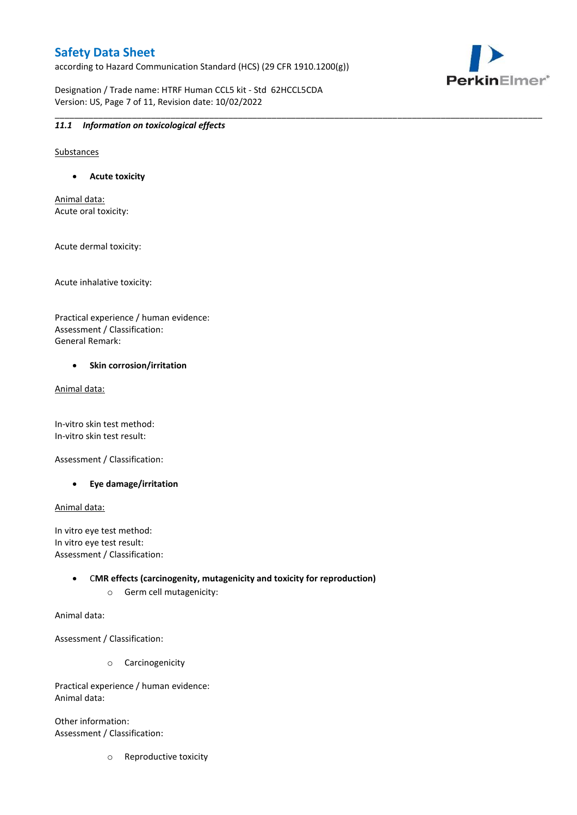according to Hazard Communication Standard (HCS) (29 CFR 1910.1200(g))

\_\_\_\_\_\_\_\_\_\_\_\_\_\_\_\_\_\_\_\_\_\_\_\_\_\_\_\_\_\_\_\_\_\_\_\_\_\_\_\_\_\_\_\_\_\_\_\_\_\_\_\_\_\_\_\_\_\_\_\_\_\_\_\_\_\_\_\_\_\_\_\_\_\_\_\_\_\_\_\_\_\_\_\_\_\_\_\_\_\_\_\_\_\_\_\_\_\_\_\_\_

Designation / Trade name: HTRF Human CCL5 kit - Std 62HCCL5CDA Version: US, Page 7 of 11, Revision date: 10/02/2022



#### *11.1 Information on toxicological effects*

Substances

**Acute toxicity**

Animal data: Acute oral toxicity:

Acute dermal toxicity:

Acute inhalative toxicity:

Practical experience / human evidence: Assessment / Classification: General Remark:

#### **•** Skin corrosion/irritation

Animal data:

In-vitro skin test method: In-vitro skin test result:

Assessment / Classification:

**Eye damage/irritation**

Animal data:

In vitro eye test method: In vitro eye test result: Assessment / Classification:

> C**MR effects (carcinogenity, mutagenicity and toxicity for reproduction)** o Germ cell mutagenicity:

Animal data:

Assessment / Classification:

o Carcinogenicity

Practical experience / human evidence: Animal data:

Other information: Assessment / Classification:

o Reproductive toxicity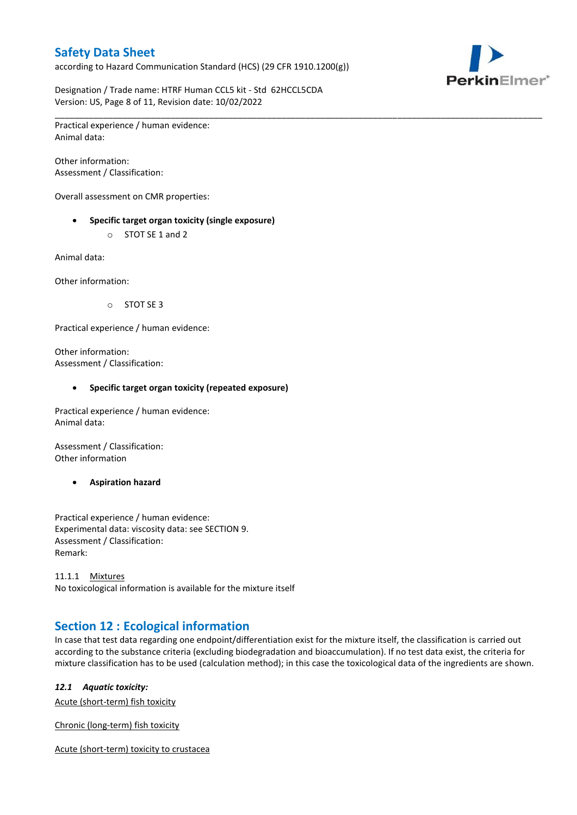according to Hazard Communication Standard (HCS) (29 CFR 1910.1200(g))



Designation / Trade name: HTRF Human CCL5 kit - Std 62HCCL5CDA Version: US, Page 8 of 11, Revision date: 10/02/2022

\_\_\_\_\_\_\_\_\_\_\_\_\_\_\_\_\_\_\_\_\_\_\_\_\_\_\_\_\_\_\_\_\_\_\_\_\_\_\_\_\_\_\_\_\_\_\_\_\_\_\_\_\_\_\_\_\_\_\_\_\_\_\_\_\_\_\_\_\_\_\_\_\_\_\_\_\_\_\_\_\_\_\_\_\_\_\_\_\_\_\_\_\_\_\_\_\_\_\_\_\_ Practical experience / human evidence: Animal data:

Other information: Assessment / Classification:

Overall assessment on CMR properties:

- **Specific target organ toxicity (single exposure)**
	- o STOT SE 1 and 2

Animal data:

Other information:

o STOT SE 3

Practical experience / human evidence:

Other information: Assessment / Classification:

#### **Specific target organ toxicity (repeated exposure)**

Practical experience / human evidence: Animal data:

Assessment / Classification: Other information

**Aspiration hazard**

Practical experience / human evidence: Experimental data: viscosity data: see SECTION 9. Assessment / Classification: Remark:

11.1.1 Mixtures No toxicological information is available for the mixture itself

## **Section 12 : Ecological information**

In case that test data regarding one endpoint/differentiation exist for the mixture itself, the classification is carried out according to the substance criteria (excluding biodegradation and bioaccumulation). If no test data exist, the criteria for mixture classification has to be used (calculation method); in this case the toxicological data of the ingredients are shown.

#### *12.1 Aquatic toxicity:*

Acute (short-term) fish toxicity

Chronic (long-term) fish toxicity

Acute (short-term) toxicity to crustacea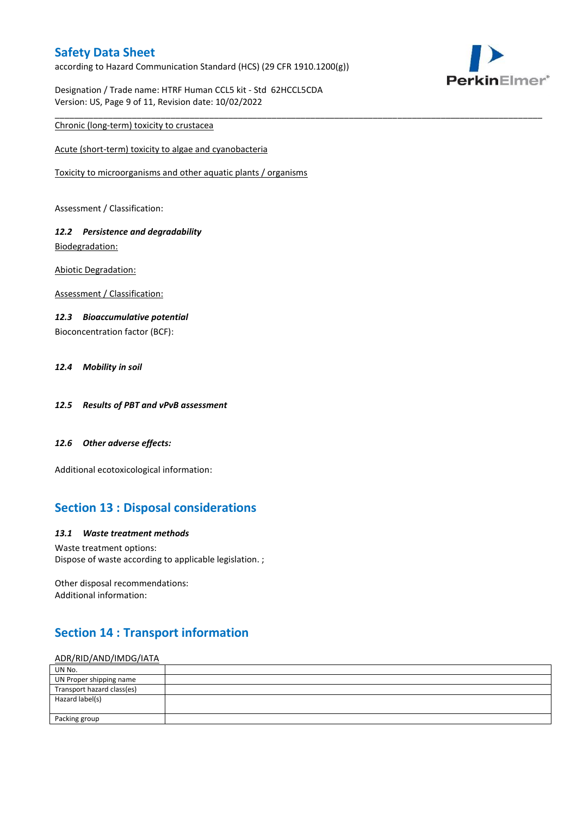according to Hazard Communication Standard (HCS) (29 CFR 1910.1200(g))

\_\_\_\_\_\_\_\_\_\_\_\_\_\_\_\_\_\_\_\_\_\_\_\_\_\_\_\_\_\_\_\_\_\_\_\_\_\_\_\_\_\_\_\_\_\_\_\_\_\_\_\_\_\_\_\_\_\_\_\_\_\_\_\_\_\_\_\_\_\_\_\_\_\_\_\_\_\_\_\_\_\_\_\_\_\_\_\_\_\_\_\_\_\_\_\_\_\_\_\_\_

Designation / Trade name: HTRF Human CCL5 kit - Std 62HCCL5CDA Version: US, Page 9 of 11, Revision date: 10/02/2022

### Chronic (long-term) toxicity to crustacea

Acute (short-term) toxicity to algae and cyanobacteria

Toxicity to microorganisms and other aquatic plants / organisms

Assessment / Classification:

### *12.2 Persistence and degradability* Biodegradation:

Abiotic Degradation:

Assessment / Classification:

#### *12.3 Bioaccumulative potential*

Bioconcentration factor (BCF):

#### *12.4 Mobility in soil*

- *12.5 Results of PBT and vPvB assessment*
- *12.6 Other adverse effects:*

Additional ecotoxicological information:

## **Section 13 : Disposal considerations**

#### *13.1 Waste treatment methods*

Waste treatment options: Dispose of waste according to applicable legislation. ;

Other disposal recommendations: Additional information:

## **Section 14 : Transport information**

#### ADR/RID/AND/IMDG/IATA

| UN No.                     |  |
|----------------------------|--|
| UN Proper shipping name    |  |
| Transport hazard class(es) |  |
| Hazard label(s)            |  |
|                            |  |
| Packing group              |  |

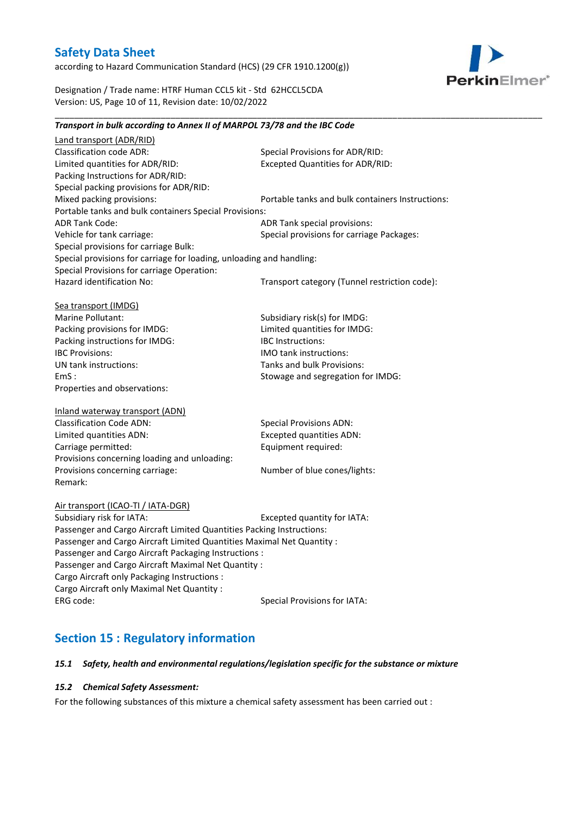according to Hazard Communication Standard (HCS) (29 CFR 1910.1200(g))



Designation / Trade name: HTRF Human CCL5 kit - Std 62HCCL5CDA Version: US, Page 10 of 11, Revision date: 10/02/2022

### *Transport in bulk according to Annex II of MARPOL 73/78 and the IBC Code*

\_\_\_\_\_\_\_\_\_\_\_\_\_\_\_\_\_\_\_\_\_\_\_\_\_\_\_\_\_\_\_\_\_\_\_\_\_\_\_\_\_\_\_\_\_\_\_\_\_\_\_\_\_\_\_\_\_\_\_\_\_\_\_\_\_\_\_\_\_\_\_\_\_\_\_\_\_\_\_\_\_\_\_\_\_\_\_\_\_\_\_\_\_\_\_\_\_\_\_\_\_

Land transport (ADR/RID) Classification code ADR: Special Provisions for ADR/RID:<br>
Limited quantities for ADR/RID: Excepted Quantities for ADR/RI Excepted Quantities for ADR/RID: Packing Instructions for ADR/RID: Special packing provisions for ADR/RID: Mixed packing provisions: Portable tanks and bulk containers Instructions: Portable tanks and bulk containers Special Provisions: ADR Tank Code: ADR Tank special provisions: Vehicle for tank carriage:  $S$  Special provisions for carriage Packages: Special provisions for carriage Bulk: Special provisions for carriage for loading, unloading and handling: Special Provisions for carriage Operation: Hazard identification No: Transport category (Tunnel restriction code): Sea transport (IMDG) Marine Pollutant: Subsidiary risk(s) for IMDG: Packing provisions for IMDG: Limited quantities for IMDG: Packing instructions for IMDG: IBC Instructions: IBC Provisions: IMO tank instructions: UN tank instructions: Tanks and bulk Provisions: EmS : Stowage and segregation for IMDG: Properties and observations: Inland waterway transport (ADN) Classification Code ADN: Special Provisions ADN: Limited quantities ADN: Excepted quantities ADN: Carriage permitted: Carriage permitted: Provisions concerning loading and unloading: Provisions concerning carriage: Number of blue cones/lights: Remark: Air transport (ICAO-TI / IATA-DGR) Subsidiary risk for IATA: Excepted quantity for IATA: Passenger and Cargo Aircraft Limited Quantities Packing Instructions: Passenger and Cargo Aircraft Limited Quantities Maximal Net Quantity : Passenger and Cargo Aircraft Packaging Instructions : Passenger and Cargo Aircraft Maximal Net Quantity : Cargo Aircraft only Packaging Instructions : Cargo Aircraft only Maximal Net Quantity :

ERG code: Special Provisions for IATA:

# **Section 15 : Regulatory information**

#### *15.1 Safety, health and environmental regulations/legislation specific for the substance or mixture*

#### *15.2 Chemical Safety Assessment:*

For the following substances of this mixture a chemical safety assessment has been carried out :